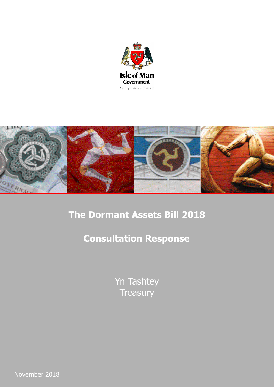



# **The Dormant Assets Bill 2018**

# **Consultation Response**

Yn Tashtey **Treasury** 

November 2018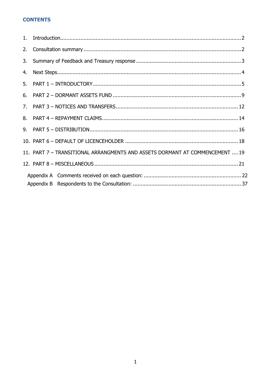# **CONTENTS**

| 2. |                                                                              |
|----|------------------------------------------------------------------------------|
| 3. |                                                                              |
| 4. |                                                                              |
| 5. |                                                                              |
| 6. |                                                                              |
|    |                                                                              |
| 8. |                                                                              |
|    |                                                                              |
|    |                                                                              |
|    | 11. PART 7 - TRANSITIONAL ARRANGMENTS AND ASSETS DORMANT AT COMMENCEMENT  19 |
|    |                                                                              |
|    |                                                                              |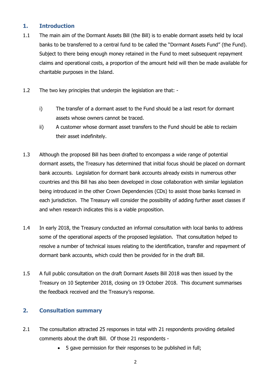# <span id="page-2-0"></span>**1. Introduction**

- 1.1 The main aim of the Dormant Assets Bill (the Bill) is to enable dormant assets held by local banks to be transferred to a central fund to be called the "Dormant Assets Fund" (the Fund). Subject to there being enough money retained in the Fund to meet subsequent repayment claims and operational costs, a proportion of the amount held will then be made available for charitable purposes in the Island.
- 1.2 The two key principles that underpin the legislation are that:
	- i) The transfer of a dormant asset to the Fund should be a last resort for dormant assets whose owners cannot be traced.
	- ii) A customer whose dormant asset transfers to the Fund should be able to reclaim their asset indefinitely.
- 1.3 Although the proposed Bill has been drafted to encompass a wide range of potential dormant assets, the Treasury has determined that initial focus should be placed on dormant bank accounts. Legislation for dormant bank accounts already exists in numerous other countries and this Bill has also been developed in close collaboration with similar legislation being introduced in the other Crown Dependencies (CDs) to assist those banks licensed in each jurisdiction. The Treasury will consider the possibility of adding further asset classes if and when research indicates this is a viable proposition.
- 1.4 In early 2018, the Treasury conducted an informal consultation with local banks to address some of the operational aspects of the proposed legislation. That consultation helped to resolve a number of technical issues relating to the identification, transfer and repayment of dormant bank accounts, which could then be provided for in the draft Bill.
- 1.5 A full public consultation on the draft Dormant Assets Bill 2018 was then issued by the Treasury on 10 September 2018, closing on 19 October 2018. This document summarises the feedback received and the Treasury's response.

# <span id="page-2-1"></span>**2. Consultation summary**

- 2.1 The consultation attracted 25 responses in total with 21 respondents providing detailed comments about the draft Bill. Of those 21 respondents -
	- 5 gave permission for their responses to be published in full;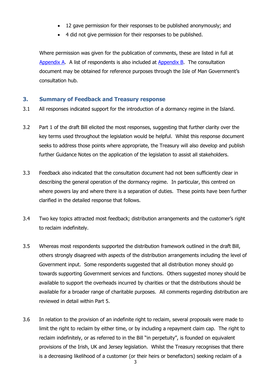- 12 gave permission for their responses to be published anonymously; and
- 4 did not give permission for their responses to be published.

Where permission was given for the publication of comments, these are listed in full at [Appendix A.](#page-35-0) A list of respondents is also included at [Appendix B.](#page-35-1) The consultation document may be obtained for reference purposes through the Isle of Man Government's consultation hub.

# <span id="page-3-0"></span>**3. Summary of Feedback and Treasury response**

- 3.1 All responses indicated support for the introduction of a dormancy regime in the Island.
- 3.2 Part 1 of the draft Bill elicited the most responses, suggesting that further clarity over the key terms used throughout the legislation would be helpful. Whilst this response document seeks to address those points where appropriate, the Treasury will also develop and publish further Guidance Notes on the application of the legislation to assist all stakeholders.
- 3.3 Feedback also indicated that the consultation document had not been sufficiently clear in describing the general operation of the dormancy regime. In particular, this centred on where powers lay and where there is a separation of duties. These points have been further clarified in the detailed response that follows.
- 3.4 Two key topics attracted most feedback; distribution arrangements and the customer's right to reclaim indefinitely.
- 3.5 Whereas most respondents supported the distribution framework outlined in the draft Bill, others strongly disagreed with aspects of the distribution arrangements including the level of Government input. Some respondents suggested that all distribution money should go towards supporting Government services and functions. Others suggested money should be available to support the overheads incurred by charities or that the distributions should be available for a broader range of charitable purposes. All comments regarding distribution are reviewed in detail within Part 5.
- 3.6 In relation to the provision of an indefinite right to reclaim, several proposals were made to limit the right to reclaim by either time, or by including a repayment claim cap. The right to reclaim indefinitely, or as referred to in the Bill "in perpetuity", is founded on equivalent provisions of the Irish, UK and Jersey legislation. Whilst the Treasury recognises that there is a decreasing likelihood of a customer (or their heirs or benefactors) seeking reclaim of a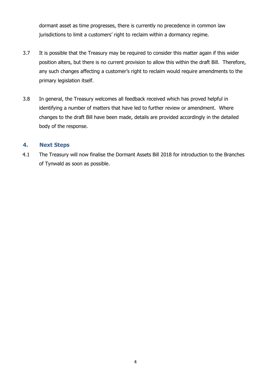dormant asset as time progresses, there is currently no precedence in common law jurisdictions to limit a customers' right to reclaim within a dormancy regime.

- 3.7 It is possible that the Treasury may be required to consider this matter again if this wider position alters, but there is no current provision to allow this within the draft Bill. Therefore, any such changes affecting a customer's right to reclaim would require amendments to the primary legislation itself.
- 3.8 In general, the Treasury welcomes all feedback received which has proved helpful in identifying a number of matters that have led to further review or amendment. Where changes to the draft Bill have been made, details are provided accordingly in the detailed body of the response.

# <span id="page-4-0"></span>**4. Next Steps**

4.1 The Treasury will now finalise the Dormant Assets Bill 2018 for introduction to the Branches of Tynwald as soon as possible.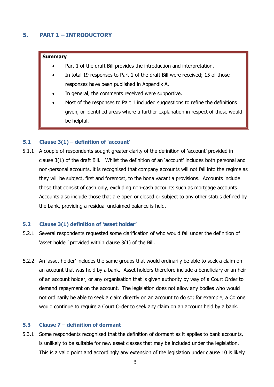# <span id="page-5-0"></span>**5. PART 1 – INTRODUCTORY**

#### **Summary**

- Part 1 of the draft Bill provides the introduction and interpretation.
- In total 19 responses to Part 1 of the draft Bill were received; 15 of those responses have been published in Appendix A.
- In general, the comments received were supportive.
- Most of the responses to Part 1 included suggestions to refine the definitions given, or identified areas where a further explanation in respect of these would be helpful.

#### **5.1 Clause 3(1) – definition of 'account'**

5.1.1 A couple of respondents sought greater clarity of the definition of 'account' provided in clause 3(1) of the draft Bill. Whilst the definition of an 'account' includes both personal and non-personal accounts, it is recognised that company accounts will not fall into the regime as they will be subject, first and foremost, to the bona vacantia provisions. Accounts include those that consist of cash only, excluding non-cash accounts such as mortgage accounts. Accounts also include those that are open or closed or subject to any other status defined by the bank, providing a residual unclaimed balance is held.

#### **5.2 Clause 3(1) definition of 'asset holder'**

- 5.2.1 Several respondents requested some clarification of who would fall under the definition of 'asset holder' provided within clause 3(1) of the Bill.
- 5.2.2 An 'asset holder' includes the same groups that would ordinarily be able to seek a claim on an account that was held by a bank. Asset holders therefore include a beneficiary or an heir of an account holder, or any organisation that is given authority by way of a Court Order to demand repayment on the account. The legislation does not allow any bodies who would not ordinarily be able to seek a claim directly on an account to do so; for example, a Coroner would continue to require a Court Order to seek any claim on an account held by a bank.

#### **5.3 Clause 7 – definition of dormant**

5.3.1 Some respondents recognised that the definition of dormant as it applies to bank accounts, is unlikely to be suitable for new asset classes that may be included under the legislation. This is a valid point and accordingly any extension of the legislation under clause 10 is likely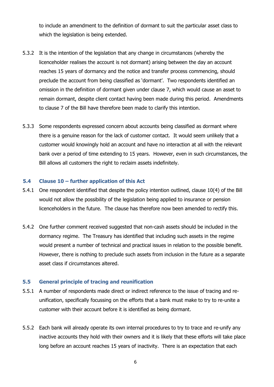to include an amendment to the definition of dormant to suit the particular asset class to which the legislation is being extended.

- 5.3.2 It is the intention of the legislation that any change in circumstances (whereby the licenceholder realises the account is not dormant) arising between the day an account reaches 15 years of dormancy and the notice and transfer process commencing, should preclude the account from being classified as 'dormant'. Two respondents identified an omission in the definition of dormant given under clause 7, which would cause an asset to remain dormant, despite client contact having been made during this period. Amendments to clause 7 of the Bill have therefore been made to clarify this intention.
- 5.3.3 Some respondents expressed concern about accounts being classified as dormant where there is a genuine reason for the lack of customer contact. It would seem unlikely that a customer would knowingly hold an account and have no interaction at all with the relevant bank over a period of time extending to 15 years. However, even in such circumstances, the Bill allows all customers the right to reclaim assets indefinitely.

#### **5.4 Clause 10 – further application of this Act**

- 5.4.1 One respondent identified that despite the policy intention outlined, clause 10(4) of the Bill would not allow the possibility of the legislation being applied to insurance or pension licenceholders in the future. The clause has therefore now been amended to rectify this.
- 5.4.2 One further comment received suggested that non-cash assets should be included in the dormancy regime. The Treasury has identified that including such assets in the regime would present a number of technical and practical issues in relation to the possible benefit. However, there is nothing to preclude such assets from inclusion in the future as a separate asset class if circumstances altered.

#### **5.5 General principle of tracing and reunification**

- 5.5.1 A number of respondents made direct or indirect reference to the issue of tracing and reunification, specifically focussing on the efforts that a bank must make to try to re-unite a customer with their account before it is identified as being dormant.
- 5.5.2 Each bank will already operate its own internal procedures to try to trace and re-unify any inactive accounts they hold with their owners and it is likely that these efforts will take place long before an account reaches 15 years of inactivity. There is an expectation that each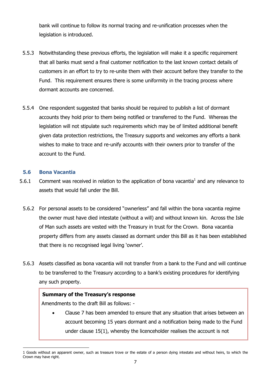bank will continue to follow its normal tracing and re-unification processes when the legislation is introduced.

- 5.5.3 Notwithstanding these previous efforts, the legislation will make it a specific requirement that all banks must send a final customer notification to the last known contact details of customers in an effort to try to re-unite them with their account before they transfer to the Fund. This requirement ensures there is some uniformity in the tracing process where dormant accounts are concerned.
- 5.5.4 One respondent suggested that banks should be required to publish a list of dormant accounts they hold prior to them being notified or transferred to the Fund. Whereas the legislation will not stipulate such requirements which may be of limited additional benefit given data protection restrictions, the Treasury supports and welcomes any efforts a bank wishes to make to trace and re-unify accounts with their owners prior to transfer of the account to the Fund.

#### **5.6 Bona Vacantia**

- 5.6.1 Comment was received in relation to the application of bona vacantia<sup>1</sup> and any relevance to assets that would fall under the Bill.
- 5.6.2 For personal assets to be considered "ownerless" and fall within the bona vacantia regime the owner must have died intestate (without a will) and without known kin. Across the Isle of Man such assets are vested with the Treasury in trust for the Crown. Bona vacantia property differs from any assets classed as dormant under this Bill as it has been established that there is no recognised legal living 'owner'.
- 5.6.3 Assets classified as bona vacantia will not transfer from a bank to the Fund and will continue to be transferred to the Treasury according to a bank's existing procedures for identifying any such property.

# **Summary of the Treasury's response**

Amendments to the draft Bill as follows: -

 Clause 7 has been amended to ensure that any situation that arises between an account becoming 15 years dormant and a notification being made to the Fund under clause 15(1), whereby the licenceholder realises the account is not

 $\overline{a}$ 1 Goods without an apparent owner, such as treasure trove or the estate of a person dying intestate and without heirs, to which the Crown may have right.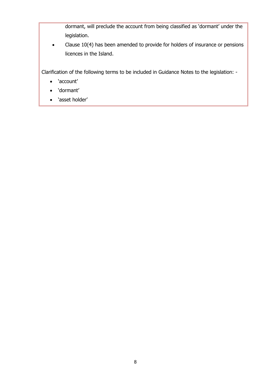dormant, will preclude the account from being classified as 'dormant' under the legislation.

• Clause 10(4) has been amended to provide for holders of insurance or pensions licences in the Island.

Clarification of the following terms to be included in Guidance Notes to the legislation: -

- 'account'
- 'dormant'
- 'asset holder'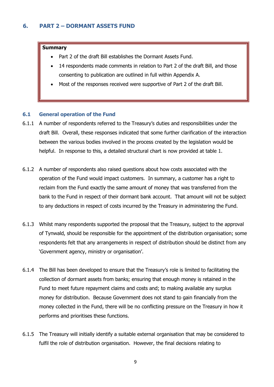#### <span id="page-9-0"></span>**Summary**

- Part 2 of the draft Bill establishes the Dormant Assets Fund.
- 14 respondents made comments in relation to Part 2 of the draft Bill, and those consenting to publication are outlined in full within Appendix A.
- Most of the responses received were supportive of Part 2 of the draft Bill.

#### **6.1 General operation of the Fund**

- 6.1.1 A number of respondents referred to the Treasury's duties and responsibilities under the draft Bill. Overall, these responses indicated that some further clarification of the interaction between the various bodies involved in the process created by the legislation would be helpful. In response to this, a detailed structural chart is now provided at table 1.
- 6.1.2 A number of respondents also raised questions about how costs associated with the operation of the Fund would impact customers. In summary, a customer has a right to reclaim from the Fund exactly the same amount of money that was transferred from the bank to the Fund in respect of their dormant bank account. That amount will not be subject to any deductions in respect of costs incurred by the Treasury in administering the Fund.
- 6.1.3 Whilst many respondents supported the proposal that the Treasury, subject to the approval of Tynwald, should be responsible for the appointment of the distribution organisation; some respondents felt that any arrangements in respect of distribution should be distinct from any 'Government agency, ministry or organisation'.
- 6.1.4 The Bill has been developed to ensure that the Treasury's role is limited to facilitating the collection of dormant assets from banks; ensuring that enough money is retained in the Fund to meet future repayment claims and costs and; to making available any surplus money for distribution. Because Government does not stand to gain financially from the money collected in the Fund, there will be no conflicting pressure on the Treasury in how it performs and prioritises these functions.
- 6.1.5 The Treasury will initially identify a suitable external organisation that may be considered to fulfil the role of distribution organisation. However, the final decisions relating to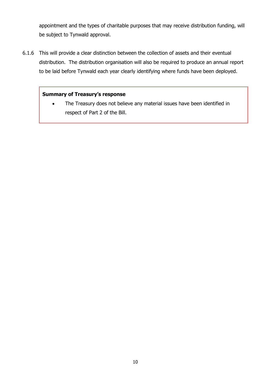appointment and the types of charitable purposes that may receive distribution funding, will be subject to Tynwald approval.

6.1.6 This will provide a clear distinction between the collection of assets and their eventual distribution. The distribution organisation will also be required to produce an annual report to be laid before Tynwald each year clearly identifying where funds have been deployed.

# **Summary of Treasury's response**

• The Treasury does not believe any material issues have been identified in respect of Part 2 of the Bill.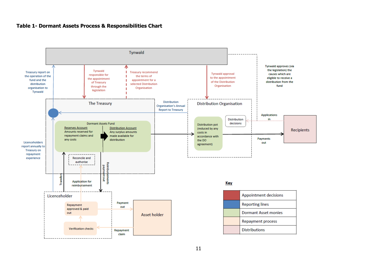#### **Table 1- Dormant Assets Process & Responsibilities Chart**

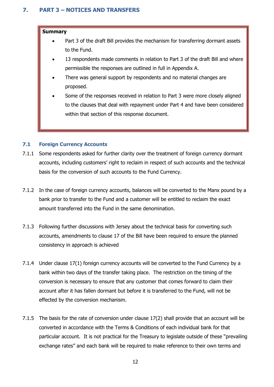# <span id="page-12-0"></span>**7. PART 3 – NOTICES AND TRANSFERS**

#### **Summary**

- Part 3 of the draft Bill provides the mechanism for transferring dormant assets to the Fund.
- 13 respondents made comments in relation to Part 3 of the draft Bill and where permissible the responses are outlined in full in Appendix A.
- There was general support by respondents and no material changes are proposed.
- Some of the responses received in relation to Part 3 were more closely aligned to the clauses that deal with repayment under Part 4 and have been considered within that section of this response document.

# **7.1 Foreign Currency Accounts**

- 7.1.1 Some respondents asked for further clarity over the treatment of foreign currency dormant accounts, including customers' right to reclaim in respect of such accounts and the technical basis for the conversion of such accounts to the Fund Currency.
- 7.1.2 In the case of foreign currency accounts, balances will be converted to the Manx pound by a bank prior to transfer to the Fund and a customer will be entitled to reclaim the exact amount transferred into the Fund in the same denomination.
- 7.1.3 Following further discussions with Jersey about the technical basis for converting such accounts, amendments to clause 17 of the Bill have been required to ensure the planned consistency in approach is achieved
- 7.1.4 Under clause 17(1) foreign currency accounts will be converted to the Fund Currency by a bank within two days of the transfer taking place. The restriction on the timing of the conversion is necessary to ensure that any customer that comes forward to claim their account after it has fallen dormant but before it is transferred to the Fund, will not be effected by the conversion mechanism.
- 7.1.5 The basis for the rate of conversion under clause 17(2) shall provide that an account will be converted in accordance with the Terms & Conditions of each individual bank for that particular account. It is not practical for the Treasury to legislate outside of these "prevailing exchange rates" and each bank will be required to make reference to their own terms and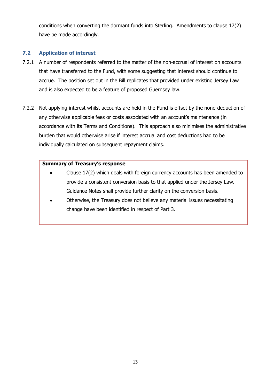conditions when converting the dormant funds into Sterling. Amendments to clause 17(2) have be made accordingly.

# **7.2 Application of interest**

- 7.2.1 A number of respondents referred to the matter of the non-accrual of interest on accounts that have transferred to the Fund, with some suggesting that interest should continue to accrue. The position set out in the Bill replicates that provided under existing Jersey Law and is also expected to be a feature of proposed Guernsey law.
- 7.2.2 Not applying interest whilst accounts are held in the Fund is offset by the none-deduction of any otherwise applicable fees or costs associated with an account's maintenance (in accordance with its Terms and Conditions). This approach also minimises the administrative burden that would otherwise arise if interest accrual and cost deductions had to be individually calculated on subsequent repayment claims.

# **Summary of Treasury's response**

- Clause 17(2) which deals with foreign currency accounts has been amended to provide a consistent conversion basis to that applied under the Jersey Law. Guidance Notes shall provide further clarity on the conversion basis.
- Otherwise, the Treasury does not believe any material issues necessitating change have been identified in respect of Part 3.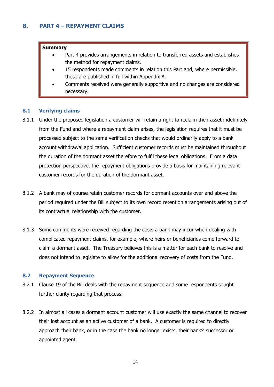#### <span id="page-14-0"></span>**Summary**

- Part 4 provides arrangements in relation to transferred assets and establishes the method for repayment claims.
- 15 respondents made comments in relation this Part and, where permissible, these are published in full within Appendix A.
- Comments received were generally supportive and no changes are considered necessary.

#### **8.1 Verifying claims**

- 8.1.1 Under the proposed legislation a customer will retain a right to reclaim their asset indefinitely from the Fund and where a repayment claim arises, the legislation requires that it must be processed subject to the same verification checks that would ordinarily apply to a bank account withdrawal application. Sufficient customer records must be maintained throughout the duration of the dormant asset therefore to fulfil these legal obligations. From a data protection perspective, the repayment obligations provide a basis for maintaining relevant customer records for the duration of the dormant asset.
- 8.1.2 A bank may of course retain customer records for dormant accounts over and above the period required under the Bill subject to its own record retention arrangements arising out of its contractual relationship with the customer.
- 8.1.3 Some comments were received regarding the costs a bank may incur when dealing with complicated repayment claims, for example, where heirs or beneficiaries come forward to claim a dormant asset. The Treasury believes this is a matter for each bank to resolve and does not intend to legislate to allow for the additional recovery of costs from the Fund.

#### **8.2 Repayment Sequence**

- 8.2.1 Clause 19 of the Bill deals with the repayment sequence and some respondents sought further clarity regarding that process.
- 8.2.2 In almost all cases a dormant account customer will use exactly the same channel to recover their lost account as an active customer of a bank. A customer is required to directly approach their bank, or in the case the bank no longer exists, their bank's successor or appointed agent.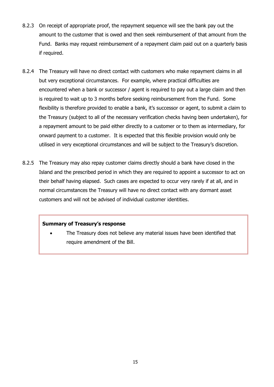- 8.2.3 On receipt of appropriate proof, the repayment sequence will see the bank pay out the amount to the customer that is owed and then seek reimbursement of that amount from the Fund. Banks may request reimbursement of a repayment claim paid out on a quarterly basis if required.
- 8.2.4 The Treasury will have no direct contact with customers who make repayment claims in all but very exceptional circumstances. For example, where practical difficulties are encountered when a bank or successor / agent is required to pay out a large claim and then is required to wait up to 3 months before seeking reimbursement from the Fund. Some flexibility is therefore provided to enable a bank, it's successor or agent, to submit a claim to the Treasury (subject to all of the necessary verification checks having been undertaken), for a repayment amount to be paid either directly to a customer or to them as intermediary, for onward payment to a customer. It is expected that this flexible provision would only be utilised in very exceptional circumstances and will be subject to the Treasury's discretion.
- 8.2.5 The Treasury may also repay customer claims directly should a bank have closed in the Island and the prescribed period in which they are required to appoint a successor to act on their behalf having elapsed. Such cases are expected to occur very rarely if at all, and in normal circumstances the Treasury will have no direct contact with any dormant asset customers and will not be advised of individual customer identities.

#### **Summary of Treasury's response**

 The Treasury does not believe any material issues have been identified that require amendment of the Bill.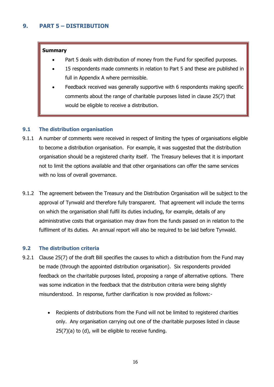#### <span id="page-16-0"></span>**Summary**

- Part 5 deals with distribution of money from the Fund for specified purposes.
- 15 respondents made comments in relation to Part 5 and these are published in full in Appendix A where permissible.
- Feedback received was generally supportive with 6 respondents making specific comments about the range of charitable purposes listed in clause 25(7) that would be eligible to receive a distribution.

# **9.1 The distribution organisation**

- 9.1.1 A number of comments were received in respect of limiting the types of organisations eligible to become a distribution organisation. For example, it was suggested that the distribution organisation should be a registered charity itself. The Treasury believes that it is important not to limit the options available and that other organisations can offer the same services with no loss of overall governance.
- 9.1.2 The agreement between the Treasury and the Distribution Organisation will be subject to the approval of Tynwald and therefore fully transparent. That agreement will include the terms on which the organisation shall fulfil its duties including, for example, details of any administrative costs that organisation may draw from the funds passed on in relation to the fulfilment of its duties. An annual report will also be required to be laid before Tynwald.

# **9.2 The distribution criteria**

- 9.2.1 Clause 25(7) of the draft Bill specifies the causes to which a distribution from the Fund may be made (through the appointed distribution organisation). Six respondents provided feedback on the charitable purposes listed, proposing a range of alternative options. There was some indication in the feedback that the distribution criteria were being slightly misunderstood. In response, further clarification is now provided as follows:-
	- Recipients of distributions from the Fund will not be limited to registered charities only. Any organisation carrying out one of the charitable purposes listed in clause 25(7)(a) to (d), will be eligible to receive funding.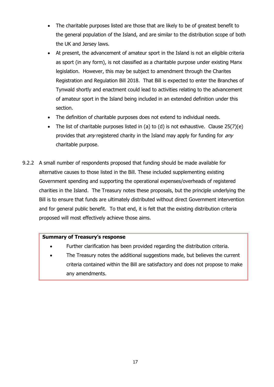- The charitable purposes listed are those that are likely to be of greatest benefit to the general population of the Island, and are similar to the distribution scope of both the UK and Jersey laws.
- At present, the advancement of amateur sport in the Island is not an eligible criteria as sport (in any form), is not classified as a charitable purpose under existing Manx legislation. However, this may be subject to amendment through the Charites Registration and Regulation Bill 2018. That Bill is expected to enter the Branches of Tynwald shortly and enactment could lead to activities relating to the advancement of amateur sport in the Island being included in an extended definition under this section.
- The definition of charitable purposes does not extend to individual needs.
- The list of charitable purposes listed in (a) to (d) is not exhaustive. Clause  $25(7)(e)$ provides that *any* registered charity in the Island may apply for funding for *any* charitable purpose.
- 9.2.2 A small number of respondents proposed that funding should be made available for alternative causes to those listed in the Bill. These included supplementing existing Government spending and supporting the operational expenses/overheads of registered charities in the Island. The Treasury notes these proposals, but the principle underlying the Bill is to ensure that funds are ultimately distributed without direct Government intervention and for general public benefit. To that end, it is felt that the existing distribution criteria proposed will most effectively achieve those aims.

# **Summary of Treasury's response**

- Further clarification has been provided regarding the distribution criteria.
- The Treasury notes the additional suggestions made, but believes the current criteria contained within the Bill are satisfactory and does not propose to make any amendments.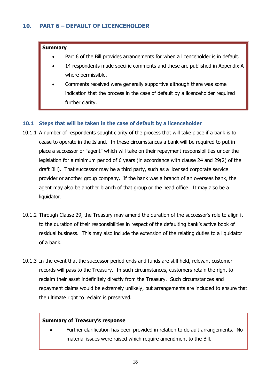#### <span id="page-18-0"></span>**Summary**

- Part 6 of the Bill provides arrangements for when a licenceholder is in default.
- 14 respondents made specific comments and these are published in Appendix A where permissible.
- Comments received were generally supportive although there was some indication that the process in the case of default by a licenceholder required further clarity.

# **10.1 Steps that will be taken in the case of default by a licenceholder**

- 10.1.1 A number of respondents sought clarity of the process that will take place if a bank is to cease to operate in the Island. In these circumstances a bank will be required to put in place a successor or "agent" which will take on their repayment responsibilities under the legislation for a minimum period of 6 years (in accordance with clause 24 and 29(2) of the draft Bill). That successor may be a third party, such as a licensed corporate service provider or another group company. If the bank was a branch of an overseas bank, the agent may also be another branch of that group or the head office. It may also be a liquidator.
- 10.1.2 Through Clause 29, the Treasury may amend the duration of the successor's role to align it to the duration of their responsibilities in respect of the defaulting bank's active book of residual business. This may also include the extension of the relating duties to a liquidator of a bank.
- 10.1.3 In the event that the successor period ends and funds are still held, relevant customer records will pass to the Treasury. In such circumstances, customers retain the right to reclaim their asset indefinitely directly from the Treasury. Such circumstances and repayment claims would be extremely unlikely, but arrangements are included to ensure that the ultimate right to reclaim is preserved.

# **Summary of Treasury's response**

<span id="page-18-1"></span> Further clarification has been provided in relation to default arrangements. No material issues were raised which require amendment to the Bill.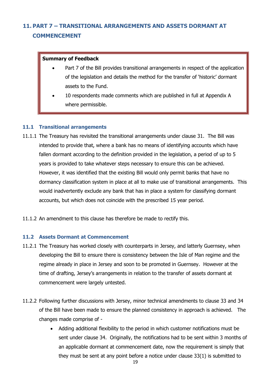# **11. PART 7 – TRANSITIONAL ARRANGEMENTS AND ASSETS DORMANT AT COMMENCEMENT**

#### **Summary of Feedback**

- Part 7 of the Bill provides transitional arrangements in respect of the application of the legislation and details the method for the transfer of 'historic' dormant assets to the Fund.
- 10 respondents made comments which are published in full at Appendix A where permissible.

# **11.1 Transitional arrangements**

- 11.1.1 The Treasury has revisited the transitional arrangements under clause 31. The Bill was intended to provide that, where a bank has no means of identifying accounts which have fallen dormant according to the definition provided in the legislation, a period of up to 5 years is provided to take whatever steps necessary to ensure this can be achieved. However, it was identified that the existing Bill would only permit banks that have no dormancy classification system in place at all to make use of transitional arrangements. This would inadvertently exclude any bank that has in place a system for classifying dormant accounts, but which does not coincide with the prescribed 15 year period.
- 11.1.2 An amendment to this clause has therefore be made to rectify this.

# **11.2 Assets Dormant at Commencement**

- 11.2.1 The Treasury has worked closely with counterparts in Jersey, and latterly Guernsey, when developing the Bill to ensure there is consistency between the Isle of Man regime and the regime already in place in Jersey and soon to be promoted in Guernsey. However at the time of drafting, Jersey's arrangements in relation to the transfer of assets dormant at commencement were largely untested.
- 11.2.2 Following further discussions with Jersey, minor technical amendments to clause 33 and 34 of the Bill have been made to ensure the planned consistency in approach is achieved. The changes made comprise of -
	- Adding additional flexibility to the period in which customer notifications must be sent under clause 34. Originally, the notifications had to be sent within 3 months of an applicable dormant at commencement date, now the requirement is simply that they must be sent at any point before a notice under clause 33(1) is submitted to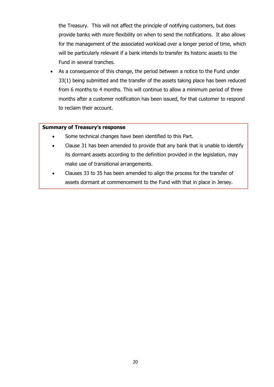the Treasury. This will not affect the principle of notifying customers, but does provide banks with more flexibility on when to send the notifications. It also allows for the management of the associated workload over a longer period of time, which will be particularly relevant if a bank intends to transfer its historic assets to the Fund in several tranches.

 As a consequence of this change, the period between a notice to the Fund under 33(1) being submitted and the transfer of the assets taking place has been reduced from 6 months to 4 months. This will continue to allow a minimum period of three months after a customer notification has been issued, for that customer to respond to reclaim their account.

#### **Summary of Treasury's response**

- Some technical changes have been identified to this Part.
- Clause 31 has been amended to provide that any bank that is unable to identify its dormant assets according to the definition provided in the legislation, may make use of transitional arrangements.
- Clauses 33 to 35 has been amended to align the process for the transfer of assets dormant at commencement to the Fund with that in place in Jersey.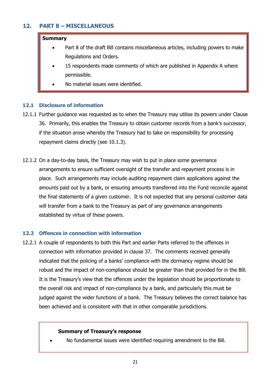# <span id="page-21-0"></span>**12. PART 8 – MISCELLANEOUS**

#### **Summary**

- Part 8 of the draft Bill contains miscellaneous articles, including powers to make Regulations and Orders.
- 15 respondents made comments of which are published in Appendix A where permissible.
- No material issues were identified.

#### **12.1 Disclosure of information**

- 12.1.1 Further guidance was requested as to when the Treasury may utilise its powers under Clause 36. Primarily, this enables the Treasury to obtain customer records from a bank's successor, if the situation arose whereby the Treasury had to take on responsibility for processing repayment claims directly (see 10.1.3).
- 12.1.2 On a day-to-day basis, the Treasury may wish to put in place some governance arrangements to ensure sufficient oversight of the transfer and repayment process is in place. Such arrangements may include auditing repayment claim applications against the amounts paid out by a bank, or ensuring amounts transferred into the Fund reconcile against the final statements of a given customer. It is not expected that any personal customer data will transfer from a bank to the Treasury as part of any governance arrangements established by virtue of these powers.

#### **12.2 Offences in connection with information**

12.2.1 A couple of respondents to both this Part and earlier Parts referred to the offences in connection with information provided in clause 37. The comments received generally indicated that the policing of a banks' compliance with the dormancy regime should be robust and the impact of non-compliance should be greater than that provided for in the Bill. It is the Treasury's view that the offences under the legislation should be proportionate to the overall risk and impact of non-compliance by a bank, and particularly this must be judged against the wider functions of a bank. The Treasury believes the correct balance has been achieved and is consistent with that in other comparable jurisdictions.

#### **Summary of Treasury's response**

No fundamental issues were identified requiring amendment to the Bill.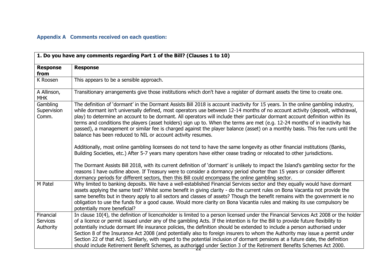# **Appendix A Comments received on each question:**

<span id="page-22-0"></span>

| 1. Do you have any comments regarding Part 1 of the Bill? (Clauses 1 to 10) |                                                                                                                                                                                                                                                                                                                                                                                                                                                                                                                                                                                                                                                                                                                                                                                                                                                                                                                                                                                                                                                                                                                                                                                                                                                                   |
|-----------------------------------------------------------------------------|-------------------------------------------------------------------------------------------------------------------------------------------------------------------------------------------------------------------------------------------------------------------------------------------------------------------------------------------------------------------------------------------------------------------------------------------------------------------------------------------------------------------------------------------------------------------------------------------------------------------------------------------------------------------------------------------------------------------------------------------------------------------------------------------------------------------------------------------------------------------------------------------------------------------------------------------------------------------------------------------------------------------------------------------------------------------------------------------------------------------------------------------------------------------------------------------------------------------------------------------------------------------|
| <b>Response</b><br>from                                                     | <b>Response</b>                                                                                                                                                                                                                                                                                                                                                                                                                                                                                                                                                                                                                                                                                                                                                                                                                                                                                                                                                                                                                                                                                                                                                                                                                                                   |
| K Roosen                                                                    | This appears to be a sensible approach.                                                                                                                                                                                                                                                                                                                                                                                                                                                                                                                                                                                                                                                                                                                                                                                                                                                                                                                                                                                                                                                                                                                                                                                                                           |
| A Allinson,<br><b>MHK</b>                                                   | Transitionary arrangements give those institutions which don't have a register of dormant assets the time to create one.                                                                                                                                                                                                                                                                                                                                                                                                                                                                                                                                                                                                                                                                                                                                                                                                                                                                                                                                                                                                                                                                                                                                          |
| Gambling<br>Supervision<br>Comm.                                            | The definition of 'dormant' in the Dormant Assists Bill 2018 is account inactivity for 15 years. In the online gambling industry,<br>while dormant isn't universally defined, most operators use between 12-14 months of no account activity (deposit, withdrawal,<br>play) to determine an account to be dormant. All operators will include their particular dormant account definition within its<br>terms and conditions the players (asset holders) sign up to. When the terms are met (e.g. 12-24 months of in inactivity has<br>passed), a management or similar fee is charged against the player balance (asset) on a monthly basis. This fee runs until the<br>balance has been reduced to NIL or account activity resumes.<br>Additionally, most online gambling licensees do not tend to have the same longevity as other financial institutions (Banks,<br>Building Societies, etc.) After 5-7 years many operators have either cease trading or relocated to other jurisdictions.<br>The Dormant Assists Bill 2018, with its current definition of 'dormant' is unlikely to impact the Island's gambling sector for the<br>reasons I have outline above. If Treasury were to consider a dormancy period shorter than 15 years or consider different |
| M Patel                                                                     | dormancy periods for different sectors, then this Bill could encompass the online gambling sector.<br>Why limited to banking deposits. We have a well-established Financial Services sector and they equally would have dormant<br>assets applying the same test? Whilst some benefit in giving clarity - do the current rules on Bona Vacantia not provide the<br>same benefits but in theory apply to all sectors and classes of assets? Though the benefit remains with the government ie no<br>obligation to use the funds for a good cause. Would more clarity on Bona Vacantia rules and making its use compulsory be<br>potentially more beneficial?                                                                                                                                                                                                                                                                                                                                                                                                                                                                                                                                                                                                       |
| Financial<br><b>Services</b><br>Authority                                   | In clause 10(4), the definition of licenceholder is limited to a person licensed under the Financial Services Act 2008 or the holder<br>of a licence or permit issued under any of the gambling Acts. If the intention is for the Bill to provide future flexibility to<br>potentially include dormant life insurance policies, the definition should be extended to include a person authorised under<br>Section 8 of the Insurance Act 2008 (and potentially also to foreign insurers to whom the Authority may issue a permit under<br>Section 22 of that Act). Similarly, with regard to the potential inclusion of dormant pensions at a future date, the definition<br>should include Retirement Benefit Schemes, as authorised under Section 3 of the Retirement Benefits Schemes Act 2000.                                                                                                                                                                                                                                                                                                                                                                                                                                                                |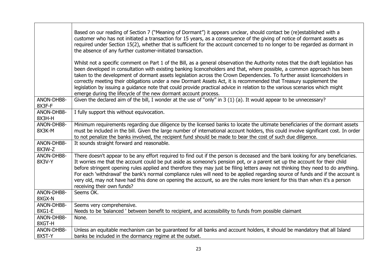|                      | Based on our reading of Section 7 ("Meaning of Dormant") it appears unclear, should contact be (re)established with a<br>customer who has not initiated a transaction for 15 years, as a consequence of the giving of notice of dormant assets as<br>required under Section 15(2), whether that is sufficient for the account concerned to no longer to be regarded as dormant in<br>the absence of any further customer-initiated transaction.                                                                                                                                                                                                                                                                   |
|----------------------|-------------------------------------------------------------------------------------------------------------------------------------------------------------------------------------------------------------------------------------------------------------------------------------------------------------------------------------------------------------------------------------------------------------------------------------------------------------------------------------------------------------------------------------------------------------------------------------------------------------------------------------------------------------------------------------------------------------------|
|                      | Whilst not a specific comment on Part 1 of the Bill, as a general observation the Authority notes that the draft legislation has<br>been developed in consultation with existing banking licenceholders and that, where possible, a common approach has been<br>taken to the development of dormant assets legislation across the Crown Dependencies. To further assist licenceholders in<br>correctly meeting their obligations under a new Dormant Assets Act, it is recommended that Treasury supplement the<br>legislation by issuing a guidance note that could provide practical advice in relation to the various scenarios which might<br>emerge during the lifecycle of the new dormant account process. |
| ANON-DHB8-<br>8X3F-F | Given the declared aim of the bill, I wonder at the use of "only" in $3(1)(a)$ . It would appear to be unnecessary?                                                                                                                                                                                                                                                                                                                                                                                                                                                                                                                                                                                               |
| ANON-DHB8-<br>8X3H-H | I fully support this without equivocation.                                                                                                                                                                                                                                                                                                                                                                                                                                                                                                                                                                                                                                                                        |
| ANON-DHB8-<br>8X3K-M | Minimum requirements regarding due diligence by the licensed banks to locate the ultimate beneficiaries of the dormant assets<br>must be included in the bill. Given the large number of international account holders, this could involve significant cost. In order<br>to not penalize the banks involved, the recipient fund should be made to bear the cost of such due diligence.                                                                                                                                                                                                                                                                                                                            |
| ANON-DHB8-<br>8X3W-Z | It sounds straight forward and reasonable.                                                                                                                                                                                                                                                                                                                                                                                                                                                                                                                                                                                                                                                                        |
| ANON-DHB8-<br>8X3V-Y | There doesn't appear to be any effort required to find out if the person is deceased and the bank looking for any beneficiaries.<br>It worries me that the account could be put aside as someone's pension pot, or a parent set up the account for their child<br>before stringent opening rules applied and therefore they may just be filing letters away not thinking they need to do anything.<br>For each 'withdrawal' the bank's normal compliance rules will need to be applied regarding source of funds and if the account is<br>very old, may not have had this done on opening the account, so are the rules more lenient for this than when it's a person<br>receiving their own funds?               |
| ANON-DHB8-<br>8XGX-N | Seems OK.                                                                                                                                                                                                                                                                                                                                                                                                                                                                                                                                                                                                                                                                                                         |
| ANON-DHB8-<br>8XG1-E | Seems very comprehensive.<br>Needs to be 'balanced ' between benefit to recipient, and accessibility to funds from possible claimant                                                                                                                                                                                                                                                                                                                                                                                                                                                                                                                                                                              |
| ANON-DHB8-<br>8XGT-H | None.                                                                                                                                                                                                                                                                                                                                                                                                                                                                                                                                                                                                                                                                                                             |
| ANON-DHB8-<br>8X5T-Y | Unless an equitable mechanism can be guaranteed for all banks and account holders, it should be mandatory that all Island<br>banks be included in the dormancy regime at the outset.                                                                                                                                                                                                                                                                                                                                                                                                                                                                                                                              |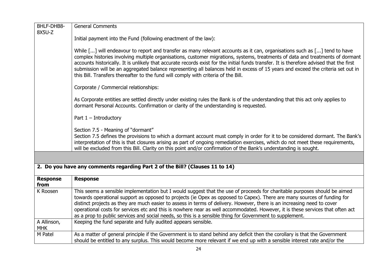| BHLF-DHB8-                | <b>General Comments</b>                                                                                                                                                                                                                                                                                                                                                                                                                                                                                                                                                                                                           |
|---------------------------|-----------------------------------------------------------------------------------------------------------------------------------------------------------------------------------------------------------------------------------------------------------------------------------------------------------------------------------------------------------------------------------------------------------------------------------------------------------------------------------------------------------------------------------------------------------------------------------------------------------------------------------|
| 8X5U-Z                    |                                                                                                                                                                                                                                                                                                                                                                                                                                                                                                                                                                                                                                   |
|                           | Initial payment into the Fund (following enactment of the law):                                                                                                                                                                                                                                                                                                                                                                                                                                                                                                                                                                   |
|                           | While [] will endeavour to report and transfer as many relevant accounts as it can, organisations such as [] tend to have<br>complex histories involving multiple organisations, customer migrations, systems, treatments of data and treatments of dormant<br>accounts historically. It is unlikely that accurate records exist for the initial funds transfer. It is therefore advised that the first<br>submission will be an aggregated balance representing all balances held in excess of 15 years and exceed the criteria set out in<br>this Bill. Transfers thereafter to the fund will comply with criteria of the Bill. |
|                           | Corporate / Commercial relationships:                                                                                                                                                                                                                                                                                                                                                                                                                                                                                                                                                                                             |
|                           | As Corporate entities are settled directly under existing rules the Bank is of the understanding that this act only applies to<br>dormant Personal Accounts. Confirmation or clarity of the understanding is requested.                                                                                                                                                                                                                                                                                                                                                                                                           |
|                           | Part $1$ – Introductory                                                                                                                                                                                                                                                                                                                                                                                                                                                                                                                                                                                                           |
|                           | Section 7.5 - Meaning of "dormant"<br>Section 7.5 defines the provisions to which a dormant account must comply in order for it to be considered dormant. The Bank's<br>interpretation of this is that closures arising as part of ongoing remediation exercises, which do not meet these requirements,<br>will be excluded from this Bill. Clarity on this point and/or confirmation of the Bank's understanding is sought.                                                                                                                                                                                                      |
|                           |                                                                                                                                                                                                                                                                                                                                                                                                                                                                                                                                                                                                                                   |
|                           | 2. Do you have any comments regarding Part 2 of the Bill? (Clauses 11 to 14)                                                                                                                                                                                                                                                                                                                                                                                                                                                                                                                                                      |
| <b>Response</b><br>from   | <b>Response</b>                                                                                                                                                                                                                                                                                                                                                                                                                                                                                                                                                                                                                   |
| K Roosen                  | This seems a sensible implementation but I would suggest that the use of proceeds for charitable purposes should be aimed<br>towards operational support as opposed to projects (ie Opex as opposed to Capex). There are many sources of funding for<br>distinct projects as they are much easier to assess in terms of delivery. However, there is an increasing need to cover<br>operational costs for services etc and this is nowhere near as well accommodated. However, it is these services that often act<br>as a prop to public services and social needs, so this is a sensible thing for Government to supplement.     |
| A Allinson,<br><b>MHK</b> | Keeping the fund separate and fully audited appears sensible.                                                                                                                                                                                                                                                                                                                                                                                                                                                                                                                                                                     |
| M Patel                   | As a matter of general principle if the Government is to stand behind any deficit then the corollary is that the Government<br>should be entitled to any surplus. This would become more relevant if we end up with a sensible interest rate and/or the                                                                                                                                                                                                                                                                                                                                                                           |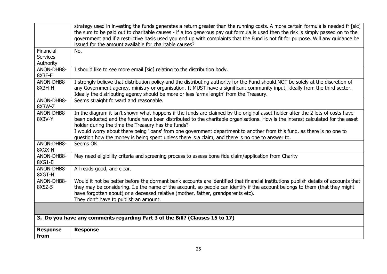|                                           | strategy used in investing the funds generates a return greater than the running costs. A more certain formula is needed fr [sic]<br>the sum to be paid out to charitable causes - if a too generous pay out formula is used then the risk is simply passed on to the<br>government and if a restrictive basis used you end up with complaints that the Fund is not fit for purpose. Will any guidance be<br>issued for the amount available for charitable causes?                                                                                     |
|-------------------------------------------|---------------------------------------------------------------------------------------------------------------------------------------------------------------------------------------------------------------------------------------------------------------------------------------------------------------------------------------------------------------------------------------------------------------------------------------------------------------------------------------------------------------------------------------------------------|
| Financial<br><b>Services</b><br>Authority | No.                                                                                                                                                                                                                                                                                                                                                                                                                                                                                                                                                     |
| ANON-DHB8-<br>8X3F-F                      | I should like to see more email [sic] relating to the distribution body.                                                                                                                                                                                                                                                                                                                                                                                                                                                                                |
| ANON-DHB8-<br>8X3H-H                      | I strongly believe that distribution policy and the distributing authority for the Fund should NOT be solely at the discretion of<br>any Government agency, ministry or organisation. It MUST have a significant community input, ideally from the third sector.<br>Ideally the distributing agency should be more or less 'arms length' from the Treasury.                                                                                                                                                                                             |
| ANON-DHB8-<br>8X3W-Z                      | Seems straight forward and reasonable.                                                                                                                                                                                                                                                                                                                                                                                                                                                                                                                  |
| ANON-DHB8-<br>8X3V-Y                      | In the diagram it isn't shown what happens if the funds are claimed by the original asset holder after the 2 lots of costs have<br>been deducted and the funds have been distributed to the charitable organisations. How is the interest calculated for the asset<br>holder during the time the Treasury has the funds?<br>I would worry about there being 'loans' from one government department to another from this fund, as there is no one to<br>question how the money is being spent unless there is a claim, and there is no one to answer to. |
| ANON-DHB8-<br>8XGX-N                      | Seems OK.                                                                                                                                                                                                                                                                                                                                                                                                                                                                                                                                               |
| ANON-DHB8-<br>8XG1-E                      | May need eligibility criteria and screening process to assess bone fide claim/application from Charity                                                                                                                                                                                                                                                                                                                                                                                                                                                  |
| ANON-DHB8-<br>8XGT-H                      | All reads good, and clear.                                                                                                                                                                                                                                                                                                                                                                                                                                                                                                                              |
| ANON-DHB8-<br>8X5Z-5                      | Would it not be better before the dormant bank accounts are identified that financial institutions publish details of accounts that<br>they may be considering. I.e the name of the account, so people can identify if the account belongs to them (that they might<br>have forgotten about) or a deceased relative (mother, father, grandparents etc).<br>They don't have to publish an amount.                                                                                                                                                        |
|                                           |                                                                                                                                                                                                                                                                                                                                                                                                                                                                                                                                                         |
|                                           | 3. Do you have any comments regarding Part 3 of the Bill? (Clauses 15 to 17)                                                                                                                                                                                                                                                                                                                                                                                                                                                                            |
| <b>Response</b><br>from                   | <b>Response</b>                                                                                                                                                                                                                                                                                                                                                                                                                                                                                                                                         |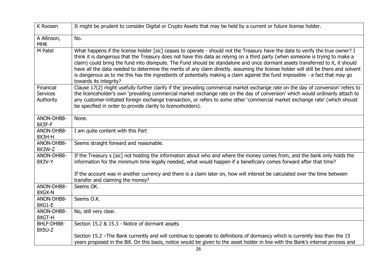| K Roosen                                  | It might be prudent to consider Digital or Crypto Assets that may be held by a current or future license holder.                                                                                                                                                                                                                                                                                                                                                                                                                                                                                                                                                                                    |
|-------------------------------------------|-----------------------------------------------------------------------------------------------------------------------------------------------------------------------------------------------------------------------------------------------------------------------------------------------------------------------------------------------------------------------------------------------------------------------------------------------------------------------------------------------------------------------------------------------------------------------------------------------------------------------------------------------------------------------------------------------------|
| A Allinson,<br><b>MHK</b>                 | No.                                                                                                                                                                                                                                                                                                                                                                                                                                                                                                                                                                                                                                                                                                 |
| M Patel                                   | What happens if the license holder [sic] ceases to operate - should not the Treasury have the data to verify the true owner? I<br>think it is dangerous that the Treasury does not have this data as relying on a third party (when someone is trying to make a<br>claim) could bring the fund into disrepute. The Fund should be standalone and once dormant assets transferred to it, it should<br>have all the data needed to determine the merits of any claim directly. assuming the license holder will still be there and solvent<br>is dangerous as to me this has the ingredients of potentially making a claim against the fund impossible - a fact that may go<br>towards its integrity? |
| Financial<br><b>Services</b><br>Authority | Clause 17(2) might usefully further clarify if the 'prevailing commercial market exchange rate on the day of conversion' refers to<br>the licenceholder's own 'prevailing commercial market exchange rate on the day of conversion' which would ordinarily attach to<br>any customer-initiated foreign exchange transaction, or refers to some other 'commercial market exchange rate' (which should<br>be specified in order to provide clarity to licenceholders).                                                                                                                                                                                                                                |
| ANON-DHB8-<br>8X3F-F                      | None.                                                                                                                                                                                                                                                                                                                                                                                                                                                                                                                                                                                                                                                                                               |
| ANON-DHB8-<br>8X3H-H                      | I am quite content with this Part                                                                                                                                                                                                                                                                                                                                                                                                                                                                                                                                                                                                                                                                   |
| ANON-DHB8-<br>8X3W-Z                      | Seems straight forward and reasonable.                                                                                                                                                                                                                                                                                                                                                                                                                                                                                                                                                                                                                                                              |
| ANON-DHB8-<br>8X3V-Y                      | If the Treasury s [sic] not holding the information about who and where the money comes from, and the bank only holds the<br>information for the minimum time legally needed, what would happen if a beneficiary comes forward after that time?                                                                                                                                                                                                                                                                                                                                                                                                                                                     |
|                                           | If the account was in another currency and there is a claim later on, how will interest be calculated over the time between<br>transfer and claiming the money?                                                                                                                                                                                                                                                                                                                                                                                                                                                                                                                                     |
| ANON-DHB8-<br>8XGX-N                      | Seems OK.                                                                                                                                                                                                                                                                                                                                                                                                                                                                                                                                                                                                                                                                                           |
| ANON-DHB8-<br>8XG1-E                      | Seems O.K.                                                                                                                                                                                                                                                                                                                                                                                                                                                                                                                                                                                                                                                                                          |
| ANON-DHB8-<br>8XGT-H                      | No, still very clear.                                                                                                                                                                                                                                                                                                                                                                                                                                                                                                                                                                                                                                                                               |
| BHLF-DHB8-<br>8X5U-Z                      | Section 15.2 & 15.3 - Notice of dormant assets                                                                                                                                                                                                                                                                                                                                                                                                                                                                                                                                                                                                                                                      |
|                                           | Section 15.2 -The Bank currently and will continue to operate to definitions of dormancy which is currently less than the 15<br>years proposed in the Bill. On this basis, notice would be given to the asset holder in line with the Bank's internal process and                                                                                                                                                                                                                                                                                                                                                                                                                                   |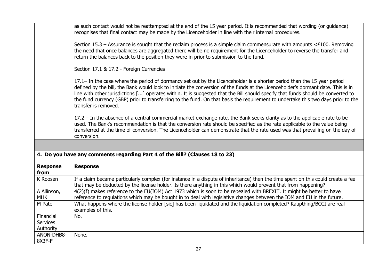|                                           | as such contact would not be reattempted at the end of the 15 year period. It is recommended that wording (or guidance)<br>recognises that final contact may be made by the Licenceholder in line with their internal procedures.<br>Section 15.3 – Assurance is sought that the reclaim process is a simple claim commensurate with amounts <£100. Removing<br>the need that once balances are aggregated there will be no requirement for the Licenceholder to reverse the transfer and                                                                   |
|-------------------------------------------|-------------------------------------------------------------------------------------------------------------------------------------------------------------------------------------------------------------------------------------------------------------------------------------------------------------------------------------------------------------------------------------------------------------------------------------------------------------------------------------------------------------------------------------------------------------|
|                                           | return the balances back to the position they were in prior to submission to the fund.                                                                                                                                                                                                                                                                                                                                                                                                                                                                      |
|                                           | Section 17.1 & 17.2 - Foreign Currencies                                                                                                                                                                                                                                                                                                                                                                                                                                                                                                                    |
|                                           | 17.1– In the case where the period of dormancy set out by the Licenceholder is a shorter period than the 15 year period<br>defined by the bill, the Bank would look to initiate the conversion of the funds at the Licenceholder's dormant date. This is in<br>line with other jurisdictions [] operates within. It is suggested that the Bill should specify that funds should be converted to<br>the fund currency (GBP) prior to transferring to the fund. On that basis the requirement to undertake this two days prior to the<br>transfer is removed. |
|                                           | 17.2 – In the absence of a central commercial market exchange rate, the Bank seeks clarity as to the applicable rate to be<br>used. The Bank's recommendation is that the conversion rate should be specified as the rate applicable to the value being<br>transferred at the time of conversion. The Licenceholder can demonstrate that the rate used was that prevailing on the day of<br>conversion.                                                                                                                                                     |
|                                           |                                                                                                                                                                                                                                                                                                                                                                                                                                                                                                                                                             |
|                                           | 4. Do you have any comments regarding Part 4 of the Bill? (Clauses 18 to 23)                                                                                                                                                                                                                                                                                                                                                                                                                                                                                |
| <b>Response</b><br>from                   | <b>Response</b>                                                                                                                                                                                                                                                                                                                                                                                                                                                                                                                                             |
| K Roosen                                  | If a claim became particularly complex (for instance in a dispute of inheritance) then the time spent on this could create a fee<br>that may be deducted by the license holder. Is there anything in this which would prevent that from happening?                                                                                                                                                                                                                                                                                                          |
| A Allinson,<br><b>MHK</b>                 | 4(2)(f) makes reference to the EU(IOM) Act 1973 which is soon to be repealed with BREXIT. It might be better to have<br>reference to regulations which may be bought in to deal with legislative changes between the IOM and EU in the future.                                                                                                                                                                                                                                                                                                              |
|                                           |                                                                                                                                                                                                                                                                                                                                                                                                                                                                                                                                                             |
| M Patel                                   | What happens where the license holder [sic] has been liquidated and the liquidation completed? Kaupthing/BCCI are real<br>examples of this.                                                                                                                                                                                                                                                                                                                                                                                                                 |
| Financial<br><b>Services</b><br>Authority | No.                                                                                                                                                                                                                                                                                                                                                                                                                                                                                                                                                         |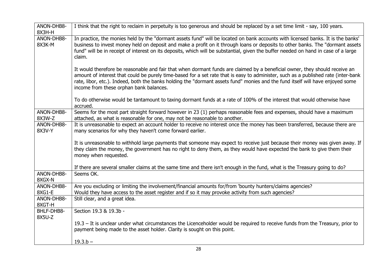| ANON-DHB8-<br>8X3H-H | I think that the right to reclaim in perpetuity is too generous and should be replaced by a set time limit - say, 100 years.                                                                                                                                                                                                                                                                                                                   |
|----------------------|------------------------------------------------------------------------------------------------------------------------------------------------------------------------------------------------------------------------------------------------------------------------------------------------------------------------------------------------------------------------------------------------------------------------------------------------|
| ANON-DHB8-<br>8X3K-M | In practice, the monies held by the "dormant assets fund" will be located on bank accounts with licensed banks. It is the banks'<br>business to invest money held on deposit and make a profit on it through loans or deposits to other banks. The "dormant assets<br>fund" will be in receipt of interest on its deposits, which will be substantial, given the buffer needed on hand in case of a large<br>claim.                            |
|                      | It would therefore be reasonable and fair that when dormant funds are claimed by a beneficial owner, they should receive an<br>amount of interest that could be purely time-based for a set rate that is easy to administer, such as a published rate (inter-bank<br>rate, libor, etc.). Indeed, both the banks holding the "dormant assets fund" monies and the fund itself will have enjoyed some<br>income from these orphan bank balances. |
|                      | To do otherwise would be tantamount to taxing dormant funds at a rate of 100% of the interest that would otherwise have<br>accrued.                                                                                                                                                                                                                                                                                                            |
| ANON-DHB8-<br>8X3W-Z | Seems for the most part straight forward however in 23 (1) perhaps reasonable fees and expenses, should have a maximum<br>attached, as what is reasonable for one, may not be reasonable to another.                                                                                                                                                                                                                                           |
| ANON-DHB8-<br>8X3V-Y | It is unreasonable to expect an account holder to receive no interest once the money has been transferred, because there are<br>many scenarios for why they haven't come forward earlier.                                                                                                                                                                                                                                                      |
|                      | It is unreasonable to withhold large payments that someone may expect to receive just because their money was given away. If<br>they claim the money, the government has no right to deny them, as they would have expected the bank to give them their<br>money when requested.                                                                                                                                                               |
|                      | If there are several smaller claims at the same time and there isn't enough in the fund, what is the Treasury going to do?                                                                                                                                                                                                                                                                                                                     |
| ANON-DHB8-<br>8XGX-N | Seems OK.                                                                                                                                                                                                                                                                                                                                                                                                                                      |
| ANON-DHB8-<br>8XG1-E | Are you excluding or limiting the involvement/financial amounts for/from 'bounty hunters/claims agencies?<br>Would they have access to the asset register and if so it may provoke activity from such agencies?                                                                                                                                                                                                                                |
| ANON-DHB8-<br>8XGT-H | Still clear, and a great idea.                                                                                                                                                                                                                                                                                                                                                                                                                 |
| BHLF-DHB8-<br>8X5U-Z | Section 19.3 & 19.3b -                                                                                                                                                                                                                                                                                                                                                                                                                         |
|                      | 19.3 – It is unclear under what circumstances the Licenceholder would be required to receive funds from the Treasury, prior to<br>payment being made to the asset holder. Clarity is sought on this point.                                                                                                                                                                                                                                     |
|                      | $19.3.b -$                                                                                                                                                                                                                                                                                                                                                                                                                                     |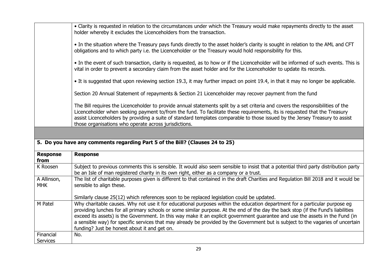|                           | • Clarity is requested in relation to the circumstances under which the Treasury would make repayments directly to the asset<br>holder whereby it excludes the Licenceholders from the transaction.                                                                                                                                                                                                                                                                                                                                                                                  |
|---------------------------|--------------------------------------------------------------------------------------------------------------------------------------------------------------------------------------------------------------------------------------------------------------------------------------------------------------------------------------------------------------------------------------------------------------------------------------------------------------------------------------------------------------------------------------------------------------------------------------|
|                           | • In the situation where the Treasury pays funds directly to the asset holder's clarity is sought in relation to the AML and CFT<br>obligations and to which party i.e. the Licenceholder or the Treasury would hold responsibility for this.                                                                                                                                                                                                                                                                                                                                        |
|                           | • In the event of such transaction, clarity is requested, as to how or if the Licenceholder will be informed of such events. This is<br>vital in order to prevent a secondary claim from the asset holder and for the Licenceholder to update its records.                                                                                                                                                                                                                                                                                                                           |
|                           | • It is suggested that upon reviewing section 19.3, it may further impact on point 19.4, in that it may no longer be applicable.                                                                                                                                                                                                                                                                                                                                                                                                                                                     |
|                           | Section 20 Annual Statement of repayments & Section 21 Licenceholder may recover payment from the fund                                                                                                                                                                                                                                                                                                                                                                                                                                                                               |
|                           | The Bill requires the Licenceholder to provide annual statements split by a set criteria and covers the responsibilities of the<br>Licenceholder when seeking payment to/from the fund. To facilitate these requirements, its is requested that the Treasury<br>assist Licenceholders by providing a suite of standard templates comparable to those issued by the Jersey Treasury to assist<br>those organisations who operate across jurisdictions.                                                                                                                                |
|                           |                                                                                                                                                                                                                                                                                                                                                                                                                                                                                                                                                                                      |
|                           | 5. Do you have any comments regarding Part 5 of the Bill? (Clauses 24 to 25)                                                                                                                                                                                                                                                                                                                                                                                                                                                                                                         |
| <b>Response</b><br>from   | <b>Response</b>                                                                                                                                                                                                                                                                                                                                                                                                                                                                                                                                                                      |
| K Roosen                  | Subject to previous comments this is sensible. It would also seem sensible to insist that a potential third party distribution party<br>be an Isle of man registered charity in its own right, either as a company or a trust.                                                                                                                                                                                                                                                                                                                                                       |
| A Allinson,<br><b>MHK</b> |                                                                                                                                                                                                                                                                                                                                                                                                                                                                                                                                                                                      |
|                           | The list of charitable purposes given is different to that contained in the draft Charities and Regulation Bill 2018 and it would be<br>sensible to align these.                                                                                                                                                                                                                                                                                                                                                                                                                     |
|                           | Similarly clause 25(12) which references soon to be replaced legislation could be updated.                                                                                                                                                                                                                                                                                                                                                                                                                                                                                           |
| M Patel                   | Why charitable causes. Why not use it for educational purposes within the education department for a particular purpose eg<br>providing lunches for all primary schools or some similar purpose. At the end of the day the back stop (if the Fund's liabilities<br>exceed its assets) is the Government. In this way make it an explicit government guarantee and use the assets in the Fund (in<br>a sensible way) for specific services that may already be provided by the Government but is subject to the vagaries of uncertain<br>funding? Just be honest about it and get on. |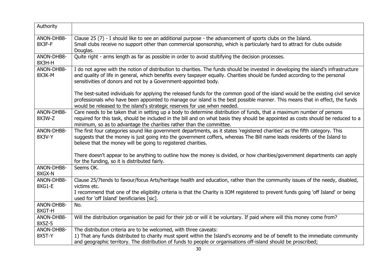| Authority            |                                                                                                                                                                                                                                                                                                                                                |
|----------------------|------------------------------------------------------------------------------------------------------------------------------------------------------------------------------------------------------------------------------------------------------------------------------------------------------------------------------------------------|
| ANON-DHB8-<br>8X3F-F | Clause 25 (7) - I should like to see an additional purpose - the advancement of sports clubs on the Island.<br>Small clubs receive no support other than commercial sponsorship, which is particularly hard to attract for clubs outside<br>Douglas.                                                                                           |
| ANON-DHB8-<br>8X3H-H | Quite right - arms length as far as possible in order to avoid stultifying the decision processes.                                                                                                                                                                                                                                             |
| ANON-DHB8-<br>8X3K-M | I do not agree with the notion of distribution to charities. The funds should be invested in developing the island's infrastructure<br>and quality of life in general, which benefits every taxpayer equally. Charities should be funded according to the personal<br>sensitivities of donors and not by a Government-appointed body.          |
|                      | The best-suited individuals for applying the released funds for the common good of the island would be the existing civil service<br>professionals who have been appointed to manage our island is the best possible manner. This means that in effect, the funds<br>would be released to the island's strategic reserves for use when needed. |
| ANON-DHB8-<br>8X3W-Z | Care needs to be taken that in setting up a body to determine distribution of funds, that a maximum number of persons<br>required for this task, should be included in the bill and on what basis they should be appointed as costs should be reduced to a<br>minimum, so as to advantage the charities rather than the committee.             |
| ANON-DHB8-<br>8X3V-Y | The first four categories sound like government departments, as it states 'registered charities' as the fifth category. This<br>suggests that the money is just going into the government coffers, whereas The Bill name leads residents of the Island to<br>believe that the money will be going to registered charities.                     |
|                      | There doesn't appear to be anything to outline how the money is divided, or how charities/government departments can apply<br>for the funding, so it is distributed fairly.                                                                                                                                                                    |
| ANON-DHB8-<br>8XGX-N | Seems OK.                                                                                                                                                                                                                                                                                                                                      |
| ANON-DHB8-<br>8XG1-E | Clause 25/7tends to favour/focus Arts/heritage health and education, rather than the community issues of the needy, disabled,<br>victims etc.<br>I recommend that one of the eligibility criteria is that the Charity is IOM registered to prevent funds going 'off Island' or being<br>used for 'off Island' benificiaries [sic].             |
| ANON-DHB8-<br>8XGT-H | No.                                                                                                                                                                                                                                                                                                                                            |
| ANON-DHB8-<br>8X5Z-5 | Will the distribution organisation be paid for their job or will it be voluntary. If paid where will this money come from?                                                                                                                                                                                                                     |
| ANON-DHB8-<br>8X5T-Y | The distribution criteria are to be welcomed, with three caveats:<br>1) That any funds distributed to charity must spent within the Island's economy and be of benefit to the immediate community<br>and geographic territory. The distribution of funds to people or organisations off-island should be proscribed;                           |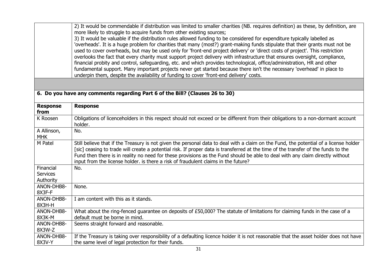|                                           | 2) It would be commendable if distribution was limited to smaller charities (NB. requires definition) as these, by definition, are<br>more likely to struggle to acquire funds from other existing sources;<br>3) It would be valuable if the distribution rules allowed funding to be considered for expenditure typically labelled as<br>'overheads'. It is a huge problem for charities that many (most?) grant-making funds stipulate that their grants must not be<br>used to cover overheads, but may be used only for 'front-end project delivery' or 'direct costs of project'. This restriction<br>overlooks the fact that every charity must support project delivery with infrastructure that ensures oversight, compliance,<br>financial probity and control, safeguarding, etc. and which provides technological, office/administration, HR and other<br>fundamental support. Many important projects never get started because there isn't the necessary 'overhead' in place to<br>underpin them, despite the availability of funding to cover 'front-end delivery' costs. |
|-------------------------------------------|------------------------------------------------------------------------------------------------------------------------------------------------------------------------------------------------------------------------------------------------------------------------------------------------------------------------------------------------------------------------------------------------------------------------------------------------------------------------------------------------------------------------------------------------------------------------------------------------------------------------------------------------------------------------------------------------------------------------------------------------------------------------------------------------------------------------------------------------------------------------------------------------------------------------------------------------------------------------------------------------------------------------------------------------------------------------------------------|
|                                           |                                                                                                                                                                                                                                                                                                                                                                                                                                                                                                                                                                                                                                                                                                                                                                                                                                                                                                                                                                                                                                                                                          |
|                                           | 6. Do you have any comments regarding Part 6 of the Bill? (Clauses 26 to 30)                                                                                                                                                                                                                                                                                                                                                                                                                                                                                                                                                                                                                                                                                                                                                                                                                                                                                                                                                                                                             |
| <b>Response</b><br>from                   | <b>Response</b>                                                                                                                                                                                                                                                                                                                                                                                                                                                                                                                                                                                                                                                                                                                                                                                                                                                                                                                                                                                                                                                                          |
| K Roosen                                  | Obligations of licenceholders in this respect should not exceed or be different from their obligations to a non-dormant account<br>holder.                                                                                                                                                                                                                                                                                                                                                                                                                                                                                                                                                                                                                                                                                                                                                                                                                                                                                                                                               |
| A Allinson,<br><b>MHK</b>                 | No.                                                                                                                                                                                                                                                                                                                                                                                                                                                                                                                                                                                                                                                                                                                                                                                                                                                                                                                                                                                                                                                                                      |
| M Patel                                   | Still believe that if the Treasury is not given the personal data to deal with a claim on the Fund, the potential of a license holder<br>[sic] ceasing to trade will create a potential risk. If proper data is transferred at the time of the transfer of the funds to the<br>Fund then there is in reality no need for these provisions as the Fund should be able to deal with any claim directly without<br>input from the license holder. is there a risk of fraudulent claims in the future?                                                                                                                                                                                                                                                                                                                                                                                                                                                                                                                                                                                       |
| Financial<br><b>Services</b><br>Authority | No.                                                                                                                                                                                                                                                                                                                                                                                                                                                                                                                                                                                                                                                                                                                                                                                                                                                                                                                                                                                                                                                                                      |
| ANON-DHB8-<br>8X3F-F                      | None.                                                                                                                                                                                                                                                                                                                                                                                                                                                                                                                                                                                                                                                                                                                                                                                                                                                                                                                                                                                                                                                                                    |
| ANON-DHB8-<br>8X3H-H                      | I am content with this as it stands.                                                                                                                                                                                                                                                                                                                                                                                                                                                                                                                                                                                                                                                                                                                                                                                                                                                                                                                                                                                                                                                     |
| ANON-DHB8-<br>8X3K-M                      | What about the ring-fenced guarantee on deposits of £50,000? The statute of limitations for claiming funds in the case of a<br>default must be borne in mind.                                                                                                                                                                                                                                                                                                                                                                                                                                                                                                                                                                                                                                                                                                                                                                                                                                                                                                                            |
| ANON-DHB8-<br>8X3W-Z                      | Seems straight forward and reasonable.                                                                                                                                                                                                                                                                                                                                                                                                                                                                                                                                                                                                                                                                                                                                                                                                                                                                                                                                                                                                                                                   |
| ANON-DHB8-<br>8X3V-Y                      | If the Treasury is taking over responsibility of a defaulting licence holder it is not reasonable that the asset holder does not have<br>the same level of legal protection for their funds.                                                                                                                                                                                                                                                                                                                                                                                                                                                                                                                                                                                                                                                                                                                                                                                                                                                                                             |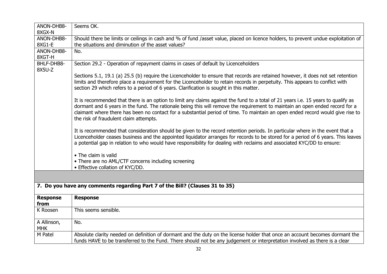| ANON-DHB8-              | Seems OK.                                                                                                                          |
|-------------------------|------------------------------------------------------------------------------------------------------------------------------------|
| 8XGX-N                  |                                                                                                                                    |
| ANON-DHB8-              | Should there be limits or ceilings in cash and % of fund /asset value, placed on licence holders, to prevent undue exploitation of |
| 8XG1-E                  | the situations and diminution of the asset values?                                                                                 |
| ANON-DHB8-              | No.                                                                                                                                |
| 8XGT-H                  |                                                                                                                                    |
| BHLF-DHB8-              | Section 29.2 - Operation of repayment claims in cases of default by Licenceholders                                                 |
| 8X5U-Z                  |                                                                                                                                    |
|                         | Sections 5.1, 19.1 (a) 25.5 (b) require the Licenceholder to ensure that records are retained however, it does not set retention   |
|                         | limits and therefore place a requirement for the Licenceholder to retain records in perpetuity. This appears to conflict with      |
|                         | section 29 which refers to a period of 6 years. Clarification is sought in this matter.                                            |
|                         |                                                                                                                                    |
|                         | It is recommended that there is an option to limit any claims against the fund to a total of 21 years i.e. 15 years to qualify as  |
|                         | dormant and 6 years in the fund. The rationale being this will remove the requirement to maintain an open ended record for a       |
|                         | claimant where there has been no contact for a substantial period of time. To maintain an open ended record would give rise to     |
|                         | the risk of fraudulent claim attempts.                                                                                             |
|                         |                                                                                                                                    |
|                         |                                                                                                                                    |
|                         | It is recommended that consideration should be given to the record retention periods. In particular where in the event that a      |
|                         | Licenceholder ceases business and the appointed liquidator arranges for records to be stored for a period of 6 years. This leaves  |
|                         | a potential gap in relation to who would have responsibility for dealing with reclaims and associated KYC/DD to ensure:            |
|                         |                                                                                                                                    |
|                         | • The claim is valid                                                                                                               |
|                         | • There are no AML/CTF concerns including screening                                                                                |
|                         | • Effective collation of KYC/DD.                                                                                                   |
|                         |                                                                                                                                    |
|                         |                                                                                                                                    |
|                         | 7. Do you have any comments regarding Part 7 of the Bill? (Clauses 31 to 35)                                                       |
|                         |                                                                                                                                    |
| <b>Response</b><br>from | <b>Response</b>                                                                                                                    |
|                         |                                                                                                                                    |
| K Roosen                | This seems sensible.                                                                                                               |
|                         | No.                                                                                                                                |
| A Allinson,             |                                                                                                                                    |
| <b>MHK</b>              |                                                                                                                                    |
| M Patel                 | Absolute clarity needed on definition of dormant and the duty on the license holder that once an account becomes dormant the       |
|                         | funds HAVE to be transferred to the Fund. There should not be any judgement or interpretation involved as there is a clear         |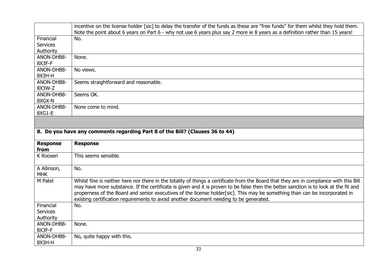|                                                                              | incentive on the license holder [sic] to delay the transfer of the funds as these are "free funds" for them whilst they hold them.<br>Note the point about 6 years on Part 6 - why not use 6 years plus say 2 more ie 8 years as a definition rather than 15 years!                                                                                                                                                                                                                                      |
|------------------------------------------------------------------------------|----------------------------------------------------------------------------------------------------------------------------------------------------------------------------------------------------------------------------------------------------------------------------------------------------------------------------------------------------------------------------------------------------------------------------------------------------------------------------------------------------------|
| Financial                                                                    | No.                                                                                                                                                                                                                                                                                                                                                                                                                                                                                                      |
| <b>Services</b>                                                              |                                                                                                                                                                                                                                                                                                                                                                                                                                                                                                          |
| Authority                                                                    |                                                                                                                                                                                                                                                                                                                                                                                                                                                                                                          |
| ANON-DHB8-                                                                   | None.                                                                                                                                                                                                                                                                                                                                                                                                                                                                                                    |
| 8X3F-F                                                                       |                                                                                                                                                                                                                                                                                                                                                                                                                                                                                                          |
| ANON-DHB8-<br>8X3H-H                                                         | No views.                                                                                                                                                                                                                                                                                                                                                                                                                                                                                                |
| ANON-DHB8-<br>8X3W-Z                                                         | Seems straightforward and reasonable.                                                                                                                                                                                                                                                                                                                                                                                                                                                                    |
| ANON-DHB8-<br>8XGX-N                                                         | Seems OK.                                                                                                                                                                                                                                                                                                                                                                                                                                                                                                |
| ANON-DHB8-<br>8XG1-E                                                         | None come to mind.                                                                                                                                                                                                                                                                                                                                                                                                                                                                                       |
|                                                                              |                                                                                                                                                                                                                                                                                                                                                                                                                                                                                                          |
| 8. Do you have any comments regarding Part 8 of the Bill? (Clauses 36 to 44) |                                                                                                                                                                                                                                                                                                                                                                                                                                                                                                          |
|                                                                              |                                                                                                                                                                                                                                                                                                                                                                                                                                                                                                          |
| <b>Response</b><br>from                                                      | <b>Response</b>                                                                                                                                                                                                                                                                                                                                                                                                                                                                                          |
| K Roosen                                                                     | This seems sensible.                                                                                                                                                                                                                                                                                                                                                                                                                                                                                     |
| A Allinson,<br><b>MHK</b>                                                    | No.                                                                                                                                                                                                                                                                                                                                                                                                                                                                                                      |
| M Patel                                                                      | Whilst fine is neither here nor there in the totality of things a certificate from the Board that they are in compliance with this Bill<br>may have more substance. If the certificate is given and it is proven to be false then the better sanction is to look at the fit and<br>properness of the Board and senior executives of the license holder[sic]. This may be something than can be incorporated in<br>existing certification requirements to avoid another document needing to be generated. |
| Financial                                                                    | No.                                                                                                                                                                                                                                                                                                                                                                                                                                                                                                      |
| <b>Services</b>                                                              |                                                                                                                                                                                                                                                                                                                                                                                                                                                                                                          |
| Authority                                                                    |                                                                                                                                                                                                                                                                                                                                                                                                                                                                                                          |
| ANON-DHB8-                                                                   | None.                                                                                                                                                                                                                                                                                                                                                                                                                                                                                                    |
| 8X3F-F                                                                       |                                                                                                                                                                                                                                                                                                                                                                                                                                                                                                          |
| ANON-DHB8-<br>8X3H-H                                                         | No, quite happy with this.                                                                                                                                                                                                                                                                                                                                                                                                                                                                               |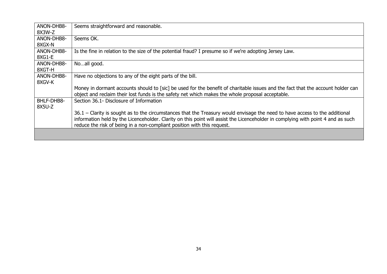| ANON-DHB8- | Seems straightforward and reasonable.                                                                                            |
|------------|----------------------------------------------------------------------------------------------------------------------------------|
| 8X3W-Z     |                                                                                                                                  |
| ANON-DHB8- | Seems OK.                                                                                                                        |
| 8XGX-N     |                                                                                                                                  |
| ANON-DHB8- | Is the fine in relation to the size of the potential fraud? I presume so if we're adopting Jersey Law.                           |
| 8XG1-E     |                                                                                                                                  |
| ANON-DHB8- | Noall good.                                                                                                                      |
| 8XGT-H     |                                                                                                                                  |
| ANON-DHB8- | Have no objections to any of the eight parts of the bill.                                                                        |
| 8XGV-K     |                                                                                                                                  |
|            | Money in dormant accounts should to [sic] be used for the benefit of charitable issues and the fact that the account holder can  |
|            | object and reclaim their lost funds is the safety net which makes the whole proposal acceptable.                                 |
| BHLF-DHB8- | Section 36.1- Disclosure of Information                                                                                          |
| 8X5U-Z     |                                                                                                                                  |
|            | 36.1 – Clarity is sought as to the circumstances that the Treasury would envisage the need to have access to the additional      |
|            | information held by the Licenceholder. Clarity on this point will assist the Licenceholder in complying with point 4 and as such |
|            | reduce the risk of being in a non-compliant position with this request.                                                          |
|            |                                                                                                                                  |
|            |                                                                                                                                  |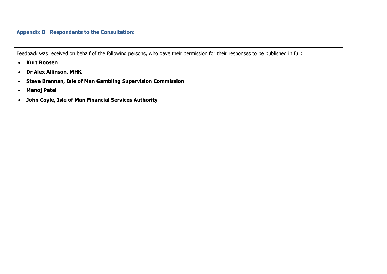#### **Appendix B Respondents to the Consultation:**

Feedback was received on behalf of the following persons, who gave their permission for their responses to be published in full:

- **Kurt Roosen**
- **Dr Alex Allinson, MHK**
- **Steve Brennan, Isle of Man Gambling Supervision Commission**
- **Manoj Patel**
- <span id="page-35-1"></span><span id="page-35-0"></span>**John Coyle, Isle of Man Financial Services Authority**